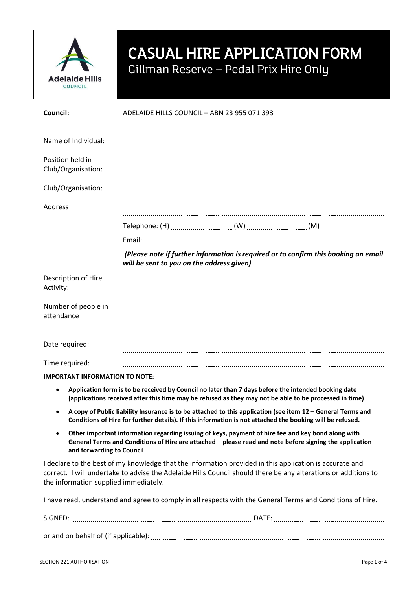

## CASUAL HIRE APPLICATION FORM Gillman Reserve – Pedal Prix Hire Only

| Council:                                                                                                                                                                                                                   | ADELAIDE HILLS COUNCIL - ABN 23 955 071 393                                                                                                                                                                               |  |  |  |  |
|----------------------------------------------------------------------------------------------------------------------------------------------------------------------------------------------------------------------------|---------------------------------------------------------------------------------------------------------------------------------------------------------------------------------------------------------------------------|--|--|--|--|
| Name of Individual:                                                                                                                                                                                                        |                                                                                                                                                                                                                           |  |  |  |  |
| Position held in<br>Club/Organisation:                                                                                                                                                                                     |                                                                                                                                                                                                                           |  |  |  |  |
| Club/Organisation:                                                                                                                                                                                                         |                                                                                                                                                                                                                           |  |  |  |  |
| Address                                                                                                                                                                                                                    |                                                                                                                                                                                                                           |  |  |  |  |
|                                                                                                                                                                                                                            |                                                                                                                                                                                                                           |  |  |  |  |
|                                                                                                                                                                                                                            | Email:                                                                                                                                                                                                                    |  |  |  |  |
|                                                                                                                                                                                                                            | (Please note if further information is required or to confirm this booking an email<br>will be sent to you on the address given)                                                                                          |  |  |  |  |
| Description of Hire<br>Activity:                                                                                                                                                                                           |                                                                                                                                                                                                                           |  |  |  |  |
| Number of people in<br>attendance                                                                                                                                                                                          |                                                                                                                                                                                                                           |  |  |  |  |
| Date required:                                                                                                                                                                                                             |                                                                                                                                                                                                                           |  |  |  |  |
| Time required:                                                                                                                                                                                                             |                                                                                                                                                                                                                           |  |  |  |  |
| <b>IMPORTANT INFORMATION TO NOTE:</b>                                                                                                                                                                                      |                                                                                                                                                                                                                           |  |  |  |  |
| Application form is to be received by Council no later than 7 days before the intended booking date<br>$\bullet$<br>(applications received after this time may be refused as they may not be able to be processed in time) |                                                                                                                                                                                                                           |  |  |  |  |
| A copy of Public liability Insurance is to be attached to this application (see item 12 – General Terms and<br>Conditions of Hire for further details). If this information is not attached the booking will be refused.   |                                                                                                                                                                                                                           |  |  |  |  |
| $\bullet$<br>and forwarding to Council                                                                                                                                                                                     | Other important information regarding issuing of keys, payment of hire fee and key bond along with<br>General Terms and Conditions of Hire are attached - please read and note before signing the application             |  |  |  |  |
| the information supplied immediately.                                                                                                                                                                                      | I declare to the best of my knowledge that the information provided in this application is accurate and<br>correct. I will undertake to advise the Adelaide Hills Council should there be any alterations or additions to |  |  |  |  |
|                                                                                                                                                                                                                            | I have read, understand and agree to comply in all respects with the General Terms and Conditions of Hire.                                                                                                                |  |  |  |  |

SIGNED: www.communication.communication.communication.communication.communication.com or and on behalf of (if applicable):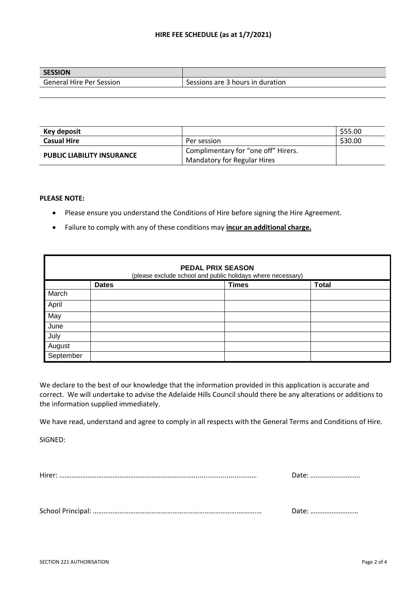## **HIRE FEE SCHEDULE (as at 1/7/2021)**

| <b>SESSION</b>                  |                                  |
|---------------------------------|----------------------------------|
| <b>General Hire Per Session</b> | Sessions are 3 hours in duration |

| Key deposit                       |                                     | \$55.00 |
|-----------------------------------|-------------------------------------|---------|
| <b>Casual Hire</b>                | Per session                         | \$30.00 |
| <b>PUBLIC LIABILITY INSURANCE</b> | Complimentary for "one off" Hirers. |         |
|                                   | <b>Mandatory for Regular Hires</b>  |         |

## **PLEASE NOTE:**

- Please ensure you understand the Conditions of Hire before signing the Hire Agreement.
- Failure to comply with any of these conditions may **incur an additional charge.**

| <b>PEDAL PRIX SEASON</b><br>(please exclude school and public holidays where necessary) |              |  |              |              |  |  |
|-----------------------------------------------------------------------------------------|--------------|--|--------------|--------------|--|--|
|                                                                                         | <b>Dates</b> |  | <b>Times</b> | <b>Total</b> |  |  |
| March                                                                                   |              |  |              |              |  |  |
| April                                                                                   |              |  |              |              |  |  |
| May                                                                                     |              |  |              |              |  |  |
| June                                                                                    |              |  |              |              |  |  |
| July                                                                                    |              |  |              |              |  |  |
| August                                                                                  |              |  |              |              |  |  |
| September                                                                               |              |  |              |              |  |  |

We declare to the best of our knowledge that the information provided in this application is accurate and correct. We will undertake to advise the Adelaide Hills Council should there be any alterations or additions to the information supplied immediately.

We have read, understand and agree to comply in all respects with the General Terms and Conditions of Hire.

SIGNED:

School Principal: ……………………………………………………………………….……….… Date: ………………………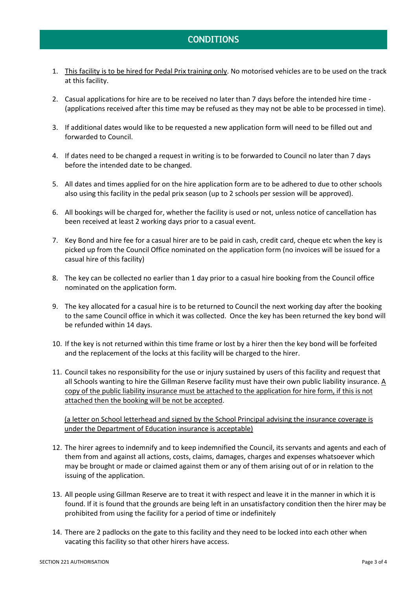## **CONDITIONS**

- 1. This facility is to be hired for Pedal Prix training only. No motorised vehicles are to be used on the track at this facility.
- 2. Casual applications for hire are to be received no later than 7 days before the intended hire time (applications received after this time may be refused as they may not be able to be processed in time).
- 3. If additional dates would like to be requested a new application form will need to be filled out and forwarded to Council.
- 4. If dates need to be changed a request in writing is to be forwarded to Council no later than 7 days before the intended date to be changed.
- 5. All dates and times applied for on the hire application form are to be adhered to due to other schools also using this facility in the pedal prix season (up to 2 schools per session will be approved).
- 6. All bookings will be charged for, whether the facility is used or not, unless notice of cancellation has been received at least 2 working days prior to a casual event.
- 7. Key Bond and hire fee for a casual hirer are to be paid in cash, credit card, cheque etc when the key is picked up from the Council Office nominated on the application form (no invoices will be issued for a casual hire of this facility)
- 8. The key can be collected no earlier than 1 day prior to a casual hire booking from the Council office nominated on the application form.
- 9. The key allocated for a casual hire is to be returned to Council the next working day after the booking to the same Council office in which it was collected. Once the key has been returned the key bond will be refunded within 14 days.
- 10. If the key is not returned within this time frame or lost by a hirer then the key bond will be forfeited and the replacement of the locks at this facility will be charged to the hirer.
- 11. Council takes no responsibility for the use or injury sustained by users of this facility and request that all Schools wanting to hire the Gillman Reserve facility must have their own public liability insurance. A copy of the public liability insurance must be attached to the application for hire form, if this is not attached then the booking will be not be accepted.

(a letter on School letterhead and signed by the School Principal advising the insurance coverage is under the Department of Education insurance is acceptable)

- 12. The hirer agrees to indemnify and to keep indemnified the Council, its servants and agents and each of them from and against all actions, costs, claims, damages, charges and expenses whatsoever which may be brought or made or claimed against them or any of them arising out of or in relation to the issuing of the application.
- 13. All people using Gillman Reserve are to treat it with respect and leave it in the manner in which it is found. If it is found that the grounds are being left in an unsatisfactory condition then the hirer may be prohibited from using the facility for a period of time or indefinitely
- 14. There are 2 padlocks on the gate to this facility and they need to be locked into each other when vacating this facility so that other hirers have access.